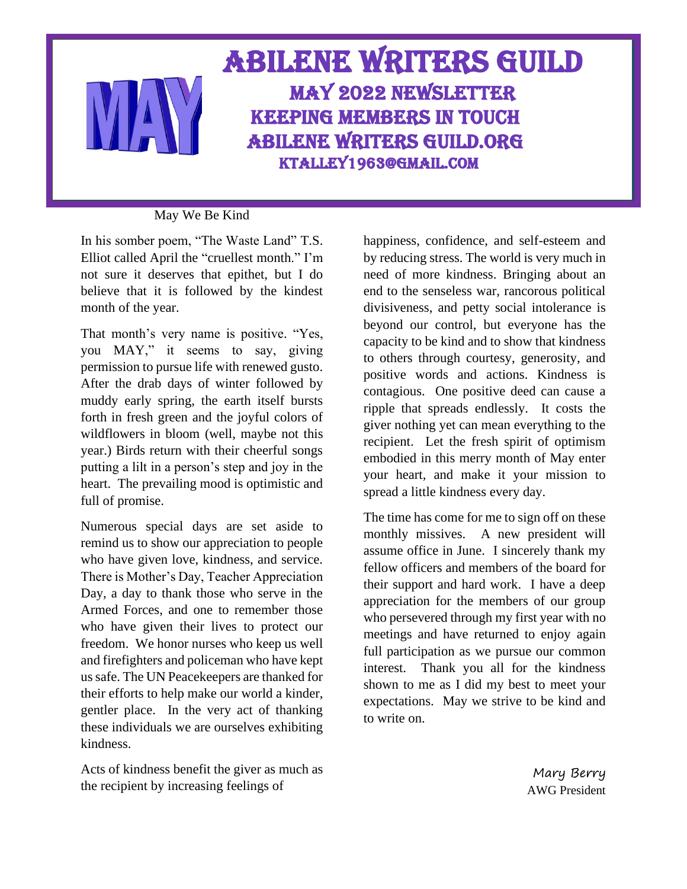## Abilene Writers Guild May 2022 Newsletter Keeping members in touch Abilene Writers guild.org Ktalley1963@gmail.Com

### May We Be Kind

In his somber poem, "The Waste Land" T.S. Elliot called April the "cruellest month." I'm not sure it deserves that epithet, but I do believe that it is followed by the kindest month of the year.

That month's very name is positive. "Yes, you MAY," it seems to say, giving permission to pursue life with renewed gusto. After the drab days of winter followed by muddy early spring, the earth itself bursts forth in fresh green and the joyful colors of wildflowers in bloom (well, maybe not this year.) Birds return with their cheerful songs putting a lilt in a person's step and joy in the heart. The prevailing mood is optimistic and full of promise.

Numerous special days are set aside to remind us to show our appreciation to people who have given love, kindness, and service. There is Mother's Day, Teacher Appreciation Day, a day to thank those who serve in the Armed Forces, and one to remember those who have given their lives to protect our freedom. We honor nurses who keep us well and firefighters and policeman who have kept us safe. The UN Peacekeepers are thanked for their efforts to help make our world a kinder, gentler place. In the very act of thanking these individuals we are ourselves exhibiting kindness.

Acts of kindness benefit the giver as much as the recipient by increasing feelings of

happiness, confidence, and self-esteem and by reducing stress. The world is very much in need of more kindness. Bringing about an end to the senseless war, rancorous political divisiveness, and petty social intolerance is beyond our control, but everyone has the capacity to be kind and to show that kindness to others through courtesy, generosity, and positive words and actions. Kindness is contagious. One positive deed can cause a ripple that spreads endlessly. It costs the giver nothing yet can mean everything to the recipient. Let the fresh spirit of optimism embodied in this merry month of May enter your heart, and make it your mission to spread a little kindness every day.

The time has come for me to sign off on these monthly missives. A new president will assume office in June. I sincerely thank my fellow officers and members of the board for their support and hard work. I have a deep appreciation for the members of our group who persevered through my first year with no meetings and have returned to enjoy again full participation as we pursue our common interest. Thank you all for the kindness shown to me as I did my best to meet your expectations. May we strive to be kind and to write on.

> Mary Berry AWG President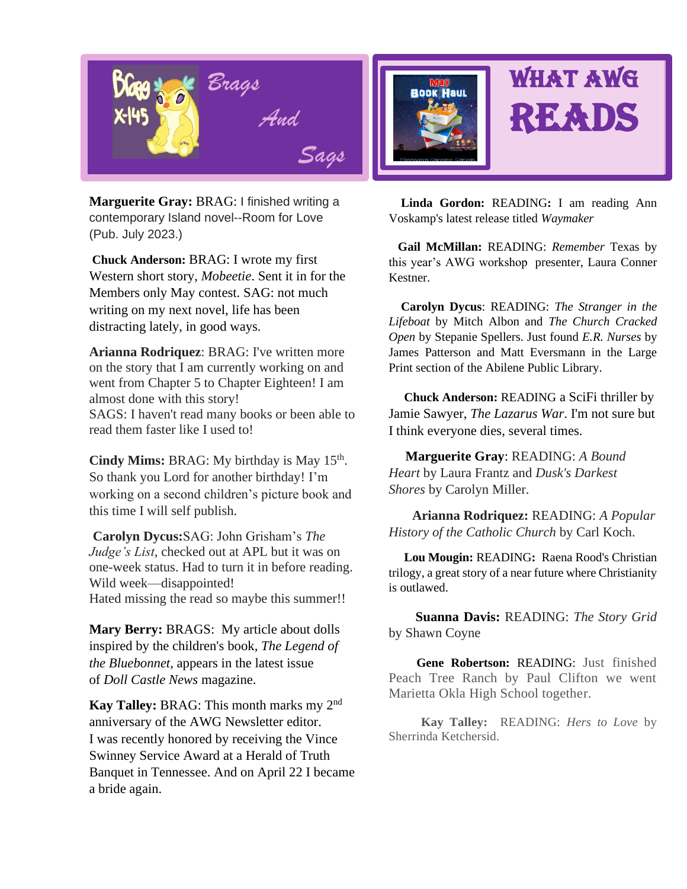

*SSags Sags*  contemporary Island novel--Room for Love **Marguerite Gray:** BRAG: I finished writing a (Pub. July 2023.)

**Chuck Anderson:** BRAG: I wrote my first Western short story, *Mobeetie*. Sent it in for the Members only May contest. SAG: not much writing on my next novel, life has been distracting lately, in good ways.

**Arianna Rodriquez**: BRAG: I've written more on the story that I am currently working on and went from Chapter 5 to Chapter Eighteen! I am almost done with this story! SAGS: I haven't read many books or been able to read them faster like I used to!

Cindy Mims: BRAG: My birthday is May 15<sup>th</sup>. So thank you Lord for another birthday! I'm working on a second children's picture book and this time I will self publish.

**Carolyn Dycus:**SAG: John Grisham's *The Judge's List*, checked out at APL but it was on one-week status. Had to turn it in before reading. Wild week—disappointed! Hated missing the read so maybe this summer!!

**Mary Berry:** BRAGS: My article about dolls inspired by the children's book, *The Legend of the Bluebonnet*, appears in the latest issue of *Doll Castle News* magazine.

**Kay Talley:** BRAG: This month marks my 2nd anniversary of the AWG Newsletter editor. I was recently honored by receiving the Vince Swinney Service Award at a Herald of Truth Banquet in Tennessee. And on April 22 I became a bride again.



 **Linda Gordon:** READING**:** I am reading Ann Voskamp's latest release titled *Waymaker*

 **Gail McMillan:** READING: *Remember* Texas by this year's AWG workshop presenter, Laura Conner Kestner.

 **Carolyn Dycus**: READING: *The Stranger in the Lifeboat* by Mitch Albon and *The Church Cracked Open* by Stepanie Spellers. Just found *E.R. Nurses* by James Patterson and Matt Eversmann in the Large Print section of the Abilene Public Library.

 **Chuck Anderson:** READING a SciFi thriller by Jamie Sawyer, *The Lazarus War*. I'm not sure but I think everyone dies, several times.

 **Marguerite Gray**: READING: *A Bound Heart* by Laura Frantz and *Dusk's Darkest Shores* by Carolyn Miller.

 **Arianna Rodriquez:** READING: *A Popular History of the Catholic Church* by Carl Koch.

 **Lou Mougin:** READING**:** Raena Rood's Christian trilogy, a great story of a near future where Christianity is outlawed.

 **Suanna Davis:** READING: *The Story Grid*  by Shawn Coyne

 **Gene Robertson:** READING: Just finished Peach Tree Ranch by Paul Clifton we went Marietta Okla High School together.

 **Kay Talley:** READING: *Hers to Love* by Sherrinda Ketchersid.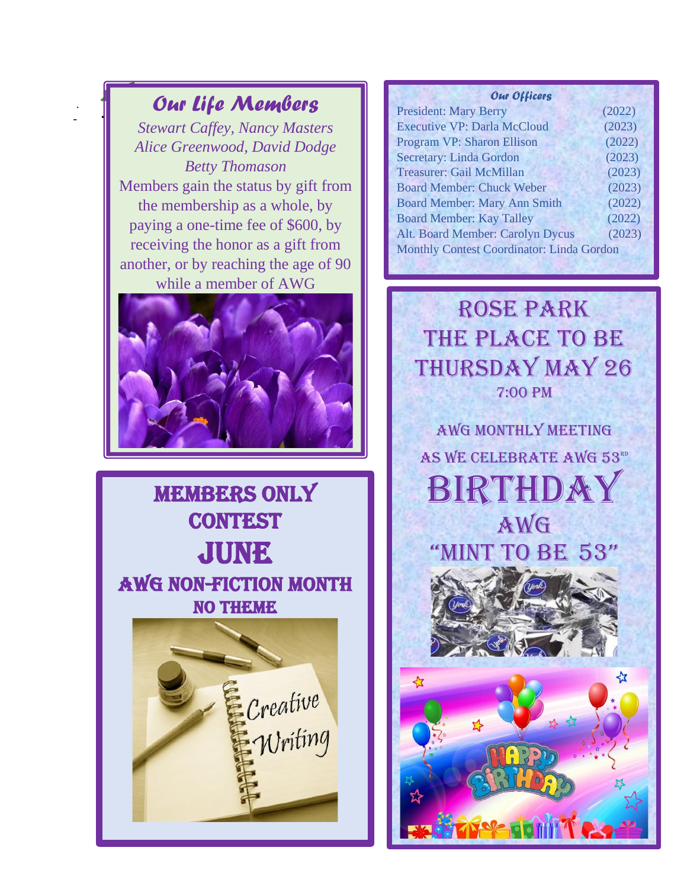### *Our Life Members*

 $\sqrt{ }$ 

**.** 

. -

*Stewart Caffey, Nancy Masters Alice Greenwood, David Dodge Betty Thomason* Members gain the status by gift from the membership as a whole, by paying a one-time fee of \$600, by receiving the honor as a gift from another, or by reaching the age of 90 while a member of AWG



**MEMBERS ONLY CONTEST JUNE** AWG Non-Fiction month no theme



#### *Our Officers*

| <b>President: Mary Berry</b>              | (2022) |  |
|-------------------------------------------|--------|--|
| <b>Executive VP: Darla McCloud</b>        | (2023) |  |
| <b>Program VP: Sharon Ellison</b>         | (2022) |  |
| <b>Secretary: Linda Gordon</b>            | (2023) |  |
| Treasurer: Gail McMillan                  | (2023) |  |
| <b>Board Member: Chuck Weber</b>          | (2023) |  |
| <b>Board Member: Mary Ann Smith</b>       | (2022) |  |
| <b>Board Member: Kay Talley</b>           | (2022) |  |
| Alt. Board Member: Carolyn Dycus          | (2023) |  |
| Monthly Contest Coordinator: Linda Gordon |        |  |
|                                           |        |  |

Rose Park THE PLACE TO BE Thursday May 26 7:00 PM

AWG Monthly meeting AS WE CELEBRATE AWG 53RD **BIRTHDAY** Awg



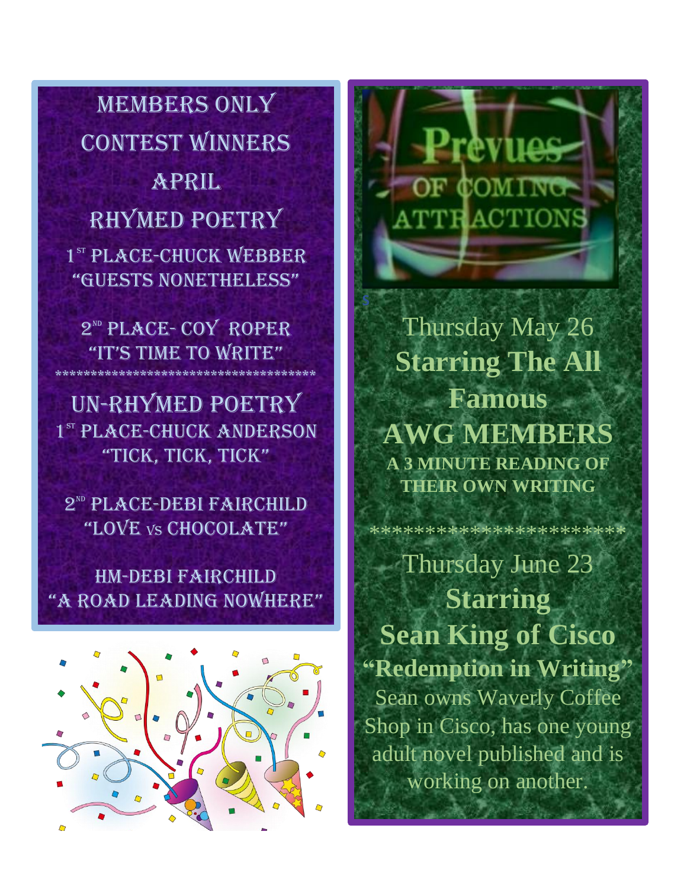MEMBERS ONLY **CONTEST WINNERS** April RHYMED POETRY 1<sup>st</sup> PLACE-CHUCK WEBBER "GUESTS NONETHELESS"

2<sup>ND</sup> PLACE-COY ROPER "IT'S TIME TO WRITE" \*\*\*\*\*\*\*\*\*\*\*\*\*\*\*\*\*\*\*\*\*\*\*\*\*\*\*\*\*\*\*\*\*\*\*\*\*

Un-rhymed poetry 1<sup>st</sup> PLACE-CHUCK ANDERSON "TICK, TICK, TICK"

2<sup>ND</sup> PLACE-DEBI FAIRCHILD "LOVE vs CHOCOLATE"

## HM-Debi Fairchild "a road leadING NoWhere"



:evilo **COMING ATTRACTION** 

Thursday May 26 **Starring The All Famous AWG MEMBERS A 3 MINUTE READING OF THEIR OWN WRITING**

\*\*\*\*\*\*\*\*\*\*\*\*\*\*\*\*\*\*\*\*\*\*\*

Thursday June 23 **Starring Sean King of Cisco "Redemption in Writing"** Sean owns Waverly Coffee Shop in Cisco, has one young adult novel published and is working on another.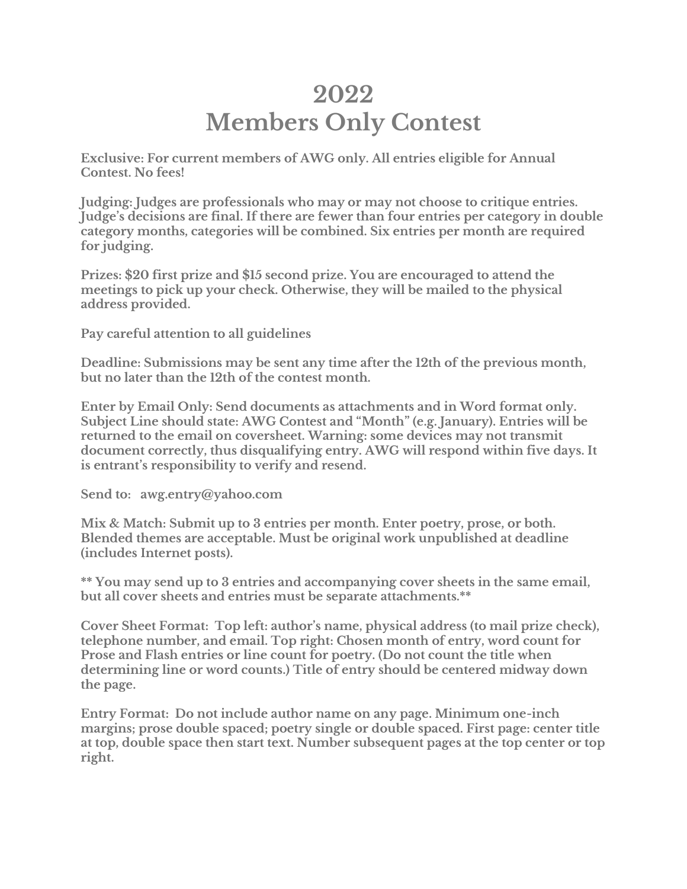# **2022 Members Only Contest**

**Exclusive: For current members of AWG only. All entries eligible for Annual Contest. No fees!**

**Judging: Judges are professionals who may or may not choose to critique entries. Judge's decisions are final. If there are fewer than four entries per category in double category months, categories will be combined. Six entries per month are required for judging.**

**Prizes: \$20 first prize and \$15 second prize. You are encouraged to attend the meetings to pick up your check. Otherwise, they will be mailed to the physical address provided.**

**Pay careful attention to all guidelines**

**Deadline: Submissions may be sent any time after the 12th of the previous month, but no later than the 12th of the contest month.**

**Enter by Email Only: Send documents as attachments and in Word format only. Subject Line should state: AWG Contest and "Month" (e.g. January). Entries will be returned to the email on coversheet. Warning: some devices may not transmit document correctly, thus disqualifying entry. AWG will respond within five days. It is entrant's responsibility to verify and resend.**

**Send to: awg.entry@yahoo.com**

**Mix & Match: Submit up to 3 entries per month. Enter poetry, prose, or both. Blended themes are acceptable. Must be original work unpublished at deadline (includes Internet posts).**

**\*\* You may send up to 3 entries and accompanying cover sheets in the same email, but all cover sheets and entries must be separate attachments.\*\***

**Cover Sheet Format: Top left: author's name, physical address (to mail prize check), telephone number, and email. Top right: Chosen month of entry, word count for Prose and Flash entries or line count for poetry. (Do not count the title when determining line or word counts.) Title of entry should be centered midway down the page.**

**Entry Format: Do not include author name on any page. Minimum one-inch margins; prose double spaced; poetry single or double spaced. First page: center title at top, double space then start text. Number subsequent pages at the top center or top right.**